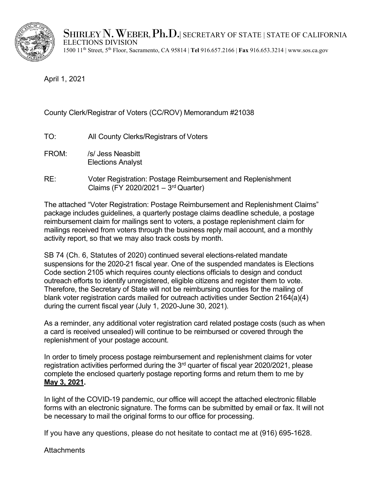SHIRLEY N. WEBER, Ph.D. SECRETARY OF STATE | STATE OF CALIFORNIA ELECTIONS DIVISION



1500 11th Street, 5th Floor, Sacramento, CA 95814 | **Tel** 916.657.2166 | **Fax** 916.653.3214 | www.sos.ca.gov

April 1, 2021

# County Clerk/Registrar of Voters (CC/ROV) Memorandum #21038

- TO: All County Clerks/Registrars of Voters
- FROM: /s/ Jess Neasbitt Elections Analyst
- RE: Voter Registration: Postage Reimbursement and Replenishment Claims (FY 2020/2021 – 3rd Quarter)

The attached "Voter Registration: Postage Reimbursement and Replenishment Claims" package includes guidelines, a quarterly postage claims deadline schedule, a postage reimbursement claim for mailings sent to voters, a postage replenishment claim for mailings received from voters through the business reply mail account, and a monthly activity report, so that we may also track costs by month.

SB 74 (Ch. 6, Statutes of 2020) continued several elections-related mandate suspensions for the 2020-21 fiscal year. One of the suspended mandates is Elections Code section 2105 which requires county elections officials to design and conduct outreach efforts to identify unregistered, eligible citizens and register them to vote. Therefore, the Secretary of State will not be reimbursing counties for the mailing of blank voter registration cards mailed for outreach activities under Section 2164(a)(4) during the current fiscal year (July 1, 2020-June 30, 2021).

As a reminder, any additional voter registration card related postage costs (such as when a card is received unsealed) will continue to be reimbursed or covered through the replenishment of your postage account.

In order to timely process postage reimbursement and replenishment claims for voter registration activities performed during the 3<sup>rd</sup> quarter of fiscal year 2020/2021, please complete the enclosed quarterly postage reporting forms and return them to me by **May 3, 2021.** 

In light of the COVID-19 pandemic, our office will accept the attached electronic fillable forms with an electronic signature. The forms can be submitted by email or fax. It will not be necessary to mail the original forms to our office for processing.

If you have any questions, please do not hesitate to contact me at (916) 695-1628.

**Attachments**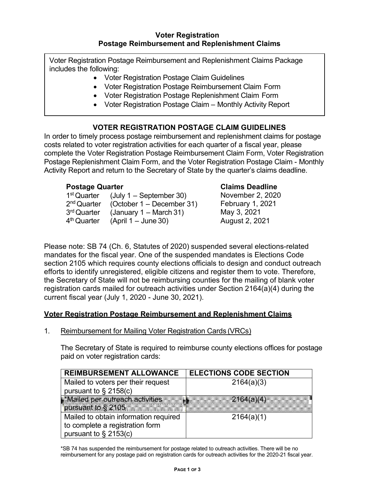Voter Registration Postage Reimbursement and Replenishment Claims Package includes the following:

- Voter Registration Postage Claim Guidelines
- Voter Registration Postage Reimbursement Claim Form
- Voter Registration Postage Replenishment Claim Form
- Voter Registration Postage Claim Monthly Activity Report

# **VOTER REGISTRATION POSTAGE CLAIM GUIDELINES**

In order to timely process postage reimbursement and replenishment claims for postage costs related to voter registration activities for each quarter of a fiscal year, please complete the Voter Registration Postage Reimbursement Claim Form, Voter Registration Postage Replenishment Claim Form, and the Voter Registration Postage Claim - Monthly Activity Report and return to the Secretary of State by the quarter's claims deadline.

## **Postage Quarter**

| 1 <sup>st</sup> Quarter | $(July 1 - September 30)$         |
|-------------------------|-----------------------------------|
| 2 <sup>nd</sup> Quarter | (October $1 -$ December 31)       |
| 3 <sup>rd</sup> Quarter | (January $1 - \text{March } 31$ ) |
| 4 <sup>th</sup> Quarter | $(April 1 - June 30)$             |
|                         |                                   |

# **Claims Deadline**

| November 2, 2020 |
|------------------|
| February 1, 2021 |
| May 3, 2021      |
| August 2, 2021   |

Please note: SB 74 (Ch. 6, Statutes of 2020) suspended several elections-related mandates for the fiscal year. One of the suspended mandates is Elections Code section 2105 which requires county elections officials to design and conduct outreach efforts to identify unregistered, eligible citizens and register them to vote. Therefore, the Secretary of State will not be reimbursing counties for the mailing of blank voter registration cards mailed for outreach activities under Section 2164(a)(4) during the current fiscal year (July 1, 2020 - June 30, 2021).

# **Voter Registration Postage Reimbursement and Replenishment Claims**

1. Reimbursement for Mailing Voter Registration Cards (VRCs)

The Secretary of State is required to reimburse county elections offices for postage paid on voter registration cards:

| <b>REIMBURSEMENT ALLOWANCE</b>        | <b>ELECTIONS CODE SECTION</b> |  |  |
|---------------------------------------|-------------------------------|--|--|
| Mailed to voters per their request    | 2164(a)(3)                    |  |  |
| pursuant to $\S$ 2158(c)              |                               |  |  |
| *Mailed per outreach activities       | 2164(a)(4)                    |  |  |
| pursuant to § 2105 <b>1990</b>        |                               |  |  |
| Mailed to obtain information required | 2164(a)(1)                    |  |  |
| to complete a registration form       |                               |  |  |
| pursuant to § 2153(c)                 |                               |  |  |

\*SB 74 has suspended the reimbursement for postage related to outreach activities. There will be no reimbursement for any postage paid on registration cards for outreach activities for the 2020-21 fiscal year.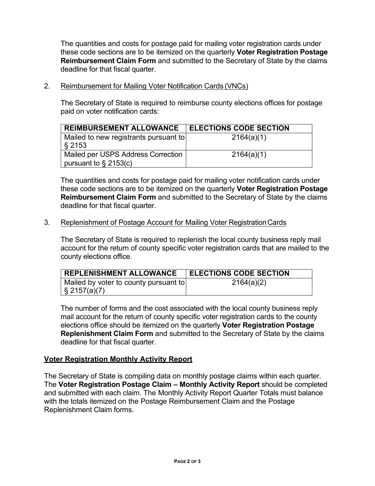The quantities and costs for postage paid for mailing voter registration cards under these code sections are to be itemized on the quarterly **Voter Registration Postage Reimbursement Claim Form** and submitted to the Secretary of State by the claims deadline for that fiscal quarter.

2. Reimbursement for Mailing Voter Notification Cards (VNCs)

The Secretary of State is required to reimburse county elections offices for postage paid on voter notification cards:

| <b>REIMBURSEMENT ALLOWANCE</b>                                 | <b>ELECTIONS CODE SECTION</b> |
|----------------------------------------------------------------|-------------------------------|
| Mailed to new registrants pursuant to<br>$\sqrt{8}$ 2153       | 2164(a)(1)                    |
| Mailed per USPS Address Correction<br>pursuant to $\S$ 2153(c) | 2164(a)(1)                    |

The quantities and costs for postage paid for mailing voter notification cards under these code sections are to be itemized on the quarterly **Voter Registration Postage Reimbursement Claim Form** and submitted to the Secretary of State by the claims deadline for that fiscal quarter.

## 3. Replenishment of Postage Account for Mailing Voter RegistrationCards

The Secretary of State is required to replenish the local county business reply mail account for the return of county specific voter registration cards that are mailed to the county elections office.

| <b>REPLENISHMENT ALLOWANCE</b>        | <b>ELECTIONS CODE SECTION</b> |
|---------------------------------------|-------------------------------|
| Mailed by voter to county pursuant to | 2164(a)(2)                    |
| $\sqrt{2157(a)}$                      |                               |

The number of forms and the cost associated with the local county business reply mail account for the return of county specific voter registration cards to the county elections office should be itemized on the quarterly **Voter Registration Postage Replenishment Claim Form** and submitted to the Secretary of State by the claims deadline for that fiscal quarter.

## **Voter Registration Monthly Activity Report**

The Secretary of State is compiling data on monthly postage claims within each quarter. The **Voter Registration Postage Claim – Monthly Activity Report** should be completed and submitted with each claim. The Monthly Activity Report Quarter Totals must balance with the totals itemized on the Postage Reimbursement Claim and the Postage Replenishment Claim forms.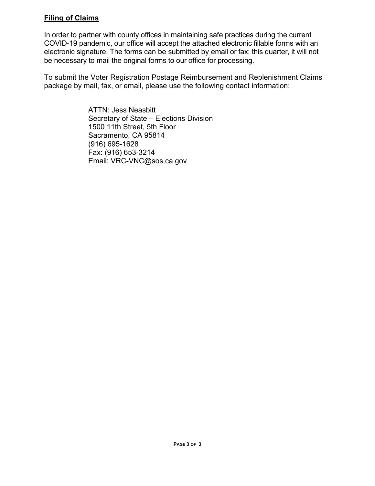# **Filing of Claims**

In order to partner with county offices in maintaining safe practices during the current COVID-19 pandemic, our office will accept the attached electronic fillable forms with an electronic signature. The forms can be submitted by email or fax; this quarter, it will not be necessary to mail the original forms to our office for processing.

To submit the Voter Registration Postage Reimbursement and Replenishment Claims package by mail, fax, or email, please use the following contact information:

> ATTN: Jess Neasbitt Secretary of State – Elections Division 1500 11th Street, 5th Floor Sacramento, CA 95814 (916) 695-1628 Fax: (916) 653-3214 Email: VRC-VNC@sos.ca.gov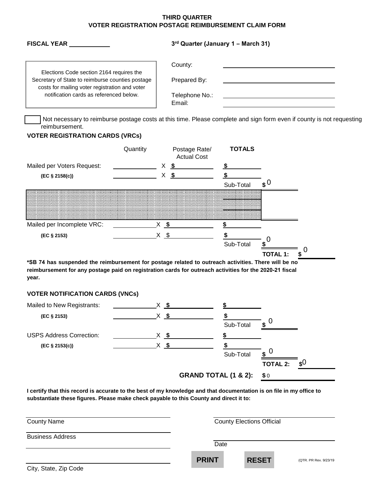### **THIRD QUARTER VOTER REGISTRATION POSTAGE REIMBURSEMENT CLAIM FORM**

| <b>FISCAL YEAR</b>                                                                                                                             | $3rd$ Quarter (January 1 – March 31) |  |  |  |
|------------------------------------------------------------------------------------------------------------------------------------------------|--------------------------------------|--|--|--|
|                                                                                                                                                | County:                              |  |  |  |
| Elections Code section 2164 requires the<br>Secretary of State to reimburse counties postage<br>costs for mailing voter registration and voter | Prepared By:                         |  |  |  |
| notification cards as referenced below.                                                                                                        | Telephone No.:<br>Email:             |  |  |  |

Not necessary to reimburse postage costs at this time. Please complete and sign form even if county is not requesting reimbursement.

## **VOTER REGISTRATION CARDS (VRCs)**

|                            | Quantity |     | Postage Rate/<br><b>Actual Cost</b> | <b>TOTALS</b> |          |
|----------------------------|----------|-----|-------------------------------------|---------------|----------|
| Mailed per Voters Request: |          | Х   | S                                   |               |          |
| (EC § 2158(c))             |          | л   | S                                   |               |          |
|                            |          |     |                                     | Sub-Total     | ¢U       |
|                            |          |     |                                     |               |          |
|                            |          |     |                                     |               |          |
|                            |          |     |                                     |               |          |
| Mailed per Incomplete VRC: |          |     |                                     |               |          |
| (EC § 2153)                |          | \$. |                                     |               |          |
|                            |          |     |                                     | Sub-Total     |          |
|                            |          |     |                                     |               | TOTAL 1: |

**\*SB 74 has suspended the reimbursement for postage related to outreach activities. There will be no reimbursement for any postage paid on registration cards for outreach activities for the 2020-21 fiscal year.**

## **VOTER NOTIFICATION CARDS (VNCs)**

| Mailed to New Registrants:      |        |                                 |           |                        |  |
|---------------------------------|--------|---------------------------------|-----------|------------------------|--|
| (EC § 2153)                     | $X$ \$ |                                 |           |                        |  |
|                                 |        |                                 | Sub-Total |                        |  |
| <b>USPS Address Correction:</b> | S S    |                                 |           |                        |  |
| $(EC \S 2153(c))$               | $X$ \$ |                                 |           |                        |  |
|                                 |        |                                 | Sub-Total | U<br>\$                |  |
|                                 |        |                                 |           | <b>TOTAL 2:</b><br>\$U |  |
|                                 |        | <b>GRAND TOTAL (1 &amp; 2):</b> |           | \$0                    |  |

**I certify that this record is accurate to the best of my knowledge and that documentation is on file in my office to substantiate these figures. Please make check payable to this County and direct it to:**

| <b>County Name</b>      |              | <b>County Elections Official</b> |                       |  |
|-------------------------|--------------|----------------------------------|-----------------------|--|
| <b>Business Address</b> | Date         |                                  |                       |  |
| City, State, Zip Code   | <b>PRINT</b> | <b>RESET</b>                     | (QTR. PR Rev. 9/23/19 |  |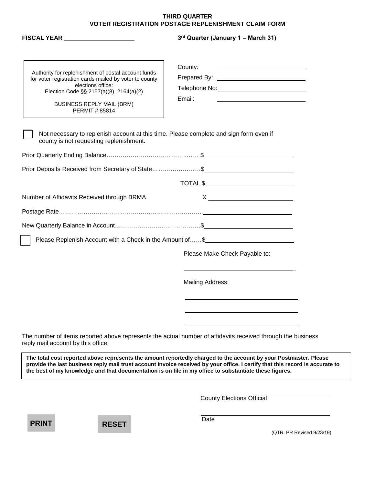### **THIRD QUARTER VOTER REGISTRATION POSTAGE REPLENISHMENT CLAIM FORM**

| FISCAL YEAR _____________________                                                                                                                                                                                                 | 3rd Quarter (January 1 - March 31)                                                                                                                                                             |  |  |
|-----------------------------------------------------------------------------------------------------------------------------------------------------------------------------------------------------------------------------------|------------------------------------------------------------------------------------------------------------------------------------------------------------------------------------------------|--|--|
| Authority for replenishment of postal account funds<br>for voter registration cards mailed by voter to county<br>elections office:<br>Election Code §§ 2157(a)(8), 2164(a)(2)<br><b>BUSINESS REPLY MAIL (BRM)</b><br>PERMIT#85814 | County:<br><u> Alexandria de la contrada de la contrada de la contrada de la contrada de la contrada de la contrada de la c</u><br>Email:<br><u> 1990 - Johann Barbara, martin amerikan ba</u> |  |  |
| Not necessary to replenish account at this time. Please complete and sign form even if<br>county is not requesting replenishment.                                                                                                 |                                                                                                                                                                                                |  |  |
|                                                                                                                                                                                                                                   |                                                                                                                                                                                                |  |  |
| Prior Deposits Received from Secretary of State\$                                                                                                                                                                                 |                                                                                                                                                                                                |  |  |
|                                                                                                                                                                                                                                   |                                                                                                                                                                                                |  |  |
| Number of Affidavits Received through BRMA                                                                                                                                                                                        |                                                                                                                                                                                                |  |  |
|                                                                                                                                                                                                                                   |                                                                                                                                                                                                |  |  |
|                                                                                                                                                                                                                                   |                                                                                                                                                                                                |  |  |
| Please Replenish Account with a Check in the Amount of\$                                                                                                                                                                          |                                                                                                                                                                                                |  |  |
|                                                                                                                                                                                                                                   | Please Make Check Payable to:                                                                                                                                                                  |  |  |
|                                                                                                                                                                                                                                   | Mailing Address:                                                                                                                                                                               |  |  |
|                                                                                                                                                                                                                                   |                                                                                                                                                                                                |  |  |
|                                                                                                                                                                                                                                   |                                                                                                                                                                                                |  |  |
| reply mail account by this office.                                                                                                                                                                                                | The number of items reported above represents the actual number of affidavits received through the business                                                                                    |  |  |

**provide the last business reply mail trust account invoice received by your office. I certify that this record is accurate to the best of my knowledge and that documentation is on file in my office to substantiate these figures.**

County Elections Official



**Date** 

(QTR. PR Revised 9/23/19)